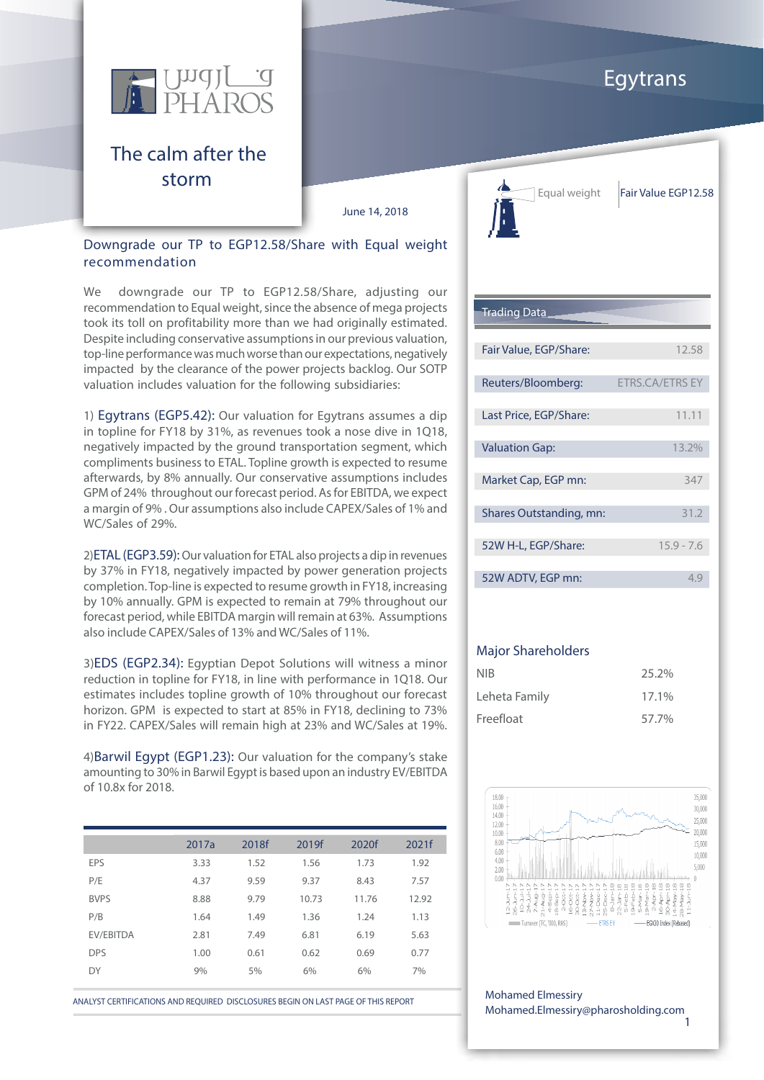

### The calm after the storm

June 14, 2018

#### Downgrade our TP to EGP12.58/Share with Equal weight recommendation

We downgrade our TP to EGP12.58/Share, adjusting our recommendation to Equal weight, since the absence of mega projects took its toll on profitability more than we had originally estimated. Despite including conservative assumptions in our previous valuation, top-line performance was much worse than our expectations, negatively impacted by the clearance of the power projects backlog. Our SOTP valuation includes valuation for the following subsidiaries:

1) Egytrans (EGP5.42): Our valuation for Egytrans assumes a dip in topline for FY18 by 31%, as revenues took a nose dive in 1Q18, negatively impacted by the ground transportation segment, which compliments business to ETAL. Topline growth is expected to resume afterwards, by 8% annually. Our conservative assumptions includes GPM of 24% throughout our forecast period. As for EBITDA, we expect a margin of 9% . Our assumptions also include CAPEX/Sales of 1% and WC/Sales of 29%.

2)ETAL (EGP3.59): Our valuation for ETAL also projects a dip in revenues by 37% in FY18, negatively impacted by power generation projects completion. Top-line is expected to resume growth in FY18, increasing by 10% annually. GPM is expected to remain at 79% throughout our forecast period, while EBITDA margin will remain at 63%. Assumptions also include CAPEX/Sales of 13% and WC/Sales of 11%.

3)EDS (EGP2.34): Egyptian Depot Solutions will witness a minor reduction in topline for FY18, in line with performance in 1Q18. Our estimates includes topline growth of 10% throughout our forecast horizon. GPM is expected to start at 85% in FY18, declining to 73% in FY22. CAPEX/Sales will remain high at 23% and WC/Sales at 19%.

4)Barwil Egypt (EGP1.23): Our valuation for the company's stake amounting to 30% in Barwil Egypt is based upon an industry EV/EBITDA of 10.8x for 2018.

|             | 2017a | 2018f | 2019f | 2020f | 2021f |
|-------------|-------|-------|-------|-------|-------|
| <b>EPS</b>  | 3.33  | 1.52  | 1.56  | 1.73  | 1.92  |
| P/E         | 4.37  | 9.59  | 9.37  | 8.43  | 7.57  |
| <b>BVPS</b> | 8.88  | 9.79  | 10.73 | 11.76 | 12.92 |
| P/B         | 1.64  | 1.49  | 1.36  | 1.24  | 1.13  |
| EV/EBITDA   | 2.81  | 7.49  | 6.81  | 6.19  | 5.63  |
| <b>DPS</b>  | 1.00  | 0.61  | 0.62  | 0.69  | 0.77  |
| DY          | 9%    | 5%    | 6%    | 6%    | 7%    |

ANALYST CERTIFICATIONS AND REQUIRED DISCLOSURES BEGIN ON LAST PAGE OF THIS REPORT Mohamed Elmessiry



Equal weight | Fair Value EGP12.58

#### Trading Data

| Fair Value, EGP/Share:  | 12.58                  |
|-------------------------|------------------------|
|                         |                        |
| Reuters/Bloomberg:      | <b>ETRS.CA/ETRS EY</b> |
|                         |                        |
| Last Price, EGP/Share:  | 11.11                  |
|                         |                        |
| <b>Valuation Gap:</b>   | 13.2%                  |
|                         |                        |
| Market Cap, EGP mn:     | 347                    |
|                         |                        |
| Shares Outstanding, mn: | 31.2                   |
|                         |                        |
| 52W H-L, EGP/Share:     | $15.9 - 7.6$           |
|                         |                        |
| 52W ADTV, EGP mn:       | ⊿ ⊂                    |

#### Major Shareholders

| NIB           | 25.2% |
|---------------|-------|
| Leheta Family | 17.1% |
| Freefloat     | 57.7% |



1 Mohamed.Elmessiry@pharosholding.com

## Egytrans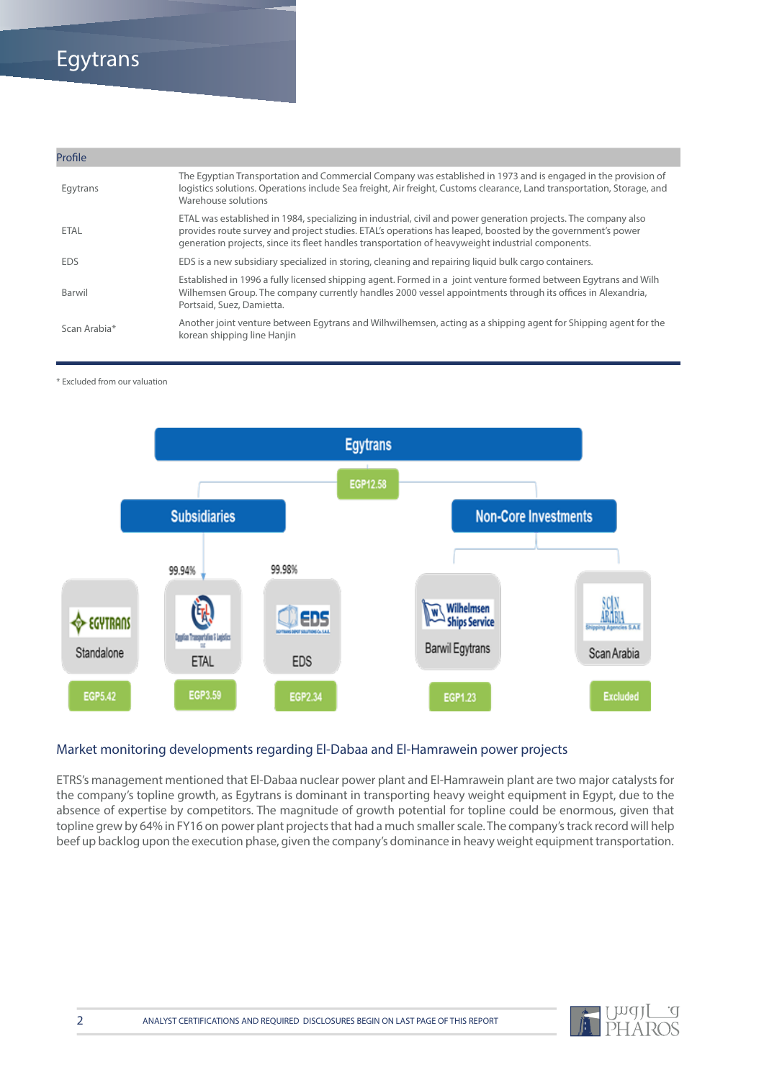### Egytrans

| Profile      |                                                                                                                                                                                                                                                                                                                                    |
|--------------|------------------------------------------------------------------------------------------------------------------------------------------------------------------------------------------------------------------------------------------------------------------------------------------------------------------------------------|
| Egytrans     | The Eqyptian Transportation and Commercial Company was established in 1973 and is engaged in the provision of<br>logistics solutions. Operations include Sea freight, Air freight, Customs clearance, Land transportation, Storage, and<br>Warehouse solutions                                                                     |
| ETAL         | ETAL was established in 1984, specializing in industrial, civil and power generation projects. The company also<br>provides route survey and project studies. ETAL's operations has leaped, boosted by the government's power<br>generation projects, since its fleet handles transportation of heavyweight industrial components. |
| <b>FDS</b>   | EDS is a new subsidiary specialized in storing, cleaning and repairing liquid bulk cargo containers.                                                                                                                                                                                                                               |
| Barwil       | Established in 1996 a fully licensed shipping agent. Formed in a joint venture formed between Egytrans and Wilh<br>Wilhemsen Group. The company currently handles 2000 vessel appointments through its offices in Alexandria,<br>Portsaid, Suez, Damietta.                                                                         |
| Scan Arabia* | Another joint venture between Egytrans and Wilhwilhemsen, acting as a shipping agent for Shipping agent for the<br>korean shipping line Hanjin                                                                                                                                                                                     |

\* Excluded from our valuation



#### Market monitoring developments regarding El-Dabaa and El-Hamrawein power projects

ETRS's management mentioned that El-Dabaa nuclear power plant and El-Hamrawein plant are two major catalysts for the company's topline growth, as Egytrans is dominant in transporting heavy weight equipment in Egypt, due to the absence of expertise by competitors. The magnitude of growth potential for topline could be enormous, given that topline grew by 64% in FY16 on power plant projects that had a much smaller scale. The company's track record will help beef up backlog upon the execution phase, given the company's dominance in heavy weight equipment transportation.

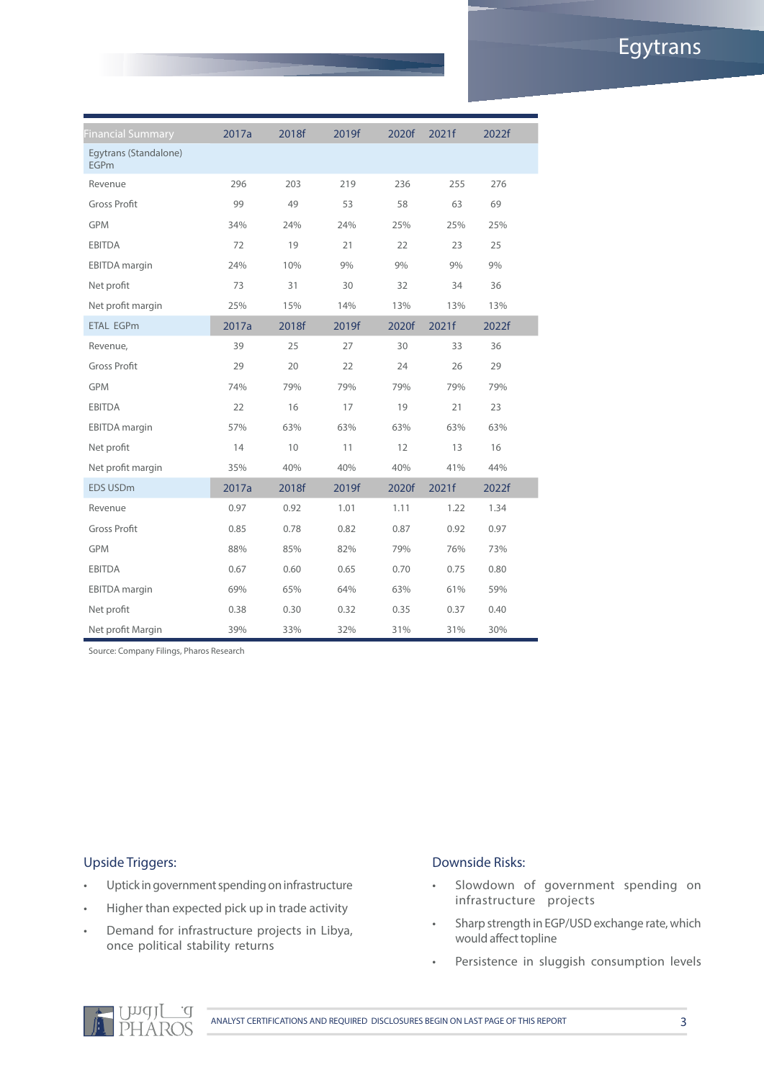### Egytrans

| <b>Financial Summary</b>             | 2017a | 2018f | 2019f | 2020f | 2021f | 2022f |  |
|--------------------------------------|-------|-------|-------|-------|-------|-------|--|
| Egytrans (Standalone)<br><b>EGPm</b> |       |       |       |       |       |       |  |
| Revenue                              | 296   | 203   | 219   | 236   | 255   | 276   |  |
| <b>Gross Profit</b>                  | 99    | 49    | 53    | 58    | 63    | 69    |  |
| <b>GPM</b>                           | 34%   | 24%   | 24%   | 25%   | 25%   | 25%   |  |
| <b>EBITDA</b>                        | 72    | 19    | 21    | 22    | 23    | 25    |  |
| <b>EBITDA</b> margin                 | 24%   | 10%   | 9%    | 9%    | 9%    | 9%    |  |
| Net profit                           | 73    | 31    | 30    | 32    | 34    | 36    |  |
| Net profit margin                    | 25%   | 15%   | 14%   | 13%   | 13%   | 13%   |  |
| <b>ETAL EGPm</b>                     | 2017a | 2018f | 2019f | 2020f | 2021f | 2022f |  |
| Revenue,                             | 39    | 25    | 27    | 30    | 33    | 36    |  |
| <b>Gross Profit</b>                  | 29    | 20    | 22    | 24    | 26    | 29    |  |
| <b>GPM</b>                           | 74%   | 79%   | 79%   | 79%   | 79%   | 79%   |  |
| <b>EBITDA</b>                        | 22    | 16    | 17    | 19    | 21    | 23    |  |
| <b>EBITDA</b> margin                 | 57%   | 63%   | 63%   | 63%   | 63%   | 63%   |  |
| Net profit                           | 14    | 10    | 11    | 12    | 13    | 16    |  |
| Net profit margin                    | 35%   | 40%   | 40%   | 40%   | 41%   | 44%   |  |
| EDS USD <sub>m</sub>                 | 2017a | 2018f | 2019f | 2020f | 2021f | 2022f |  |
| Revenue                              | 0.97  | 0.92  | 1.01  | 1.11  | 1.22  | 1.34  |  |
| <b>Gross Profit</b>                  | 0.85  | 0.78  | 0.82  | 0.87  | 0.92  | 0.97  |  |
| <b>GPM</b>                           | 88%   | 85%   | 82%   | 79%   | 76%   | 73%   |  |
| <b>EBITDA</b>                        | 0.67  | 0.60  | 0.65  | 0.70  | 0.75  | 0.80  |  |
| <b>EBITDA</b> margin                 | 69%   | 65%   | 64%   | 63%   | 61%   | 59%   |  |
| Net profit                           | 0.38  | 0.30  | 0.32  | 0.35  | 0.37  | 0.40  |  |
| Net profit Margin                    | 39%   | 33%   | 32%   | 31%   | 31%   | 30%   |  |

Source: Company Filings, Pharos Research

#### Upside Triggers:

- • Uptick in government spending on infrastructure
- • Higher than expected pick up in trade activity
- • Demand for infrastructure projects in Libya, once political stability returns

#### Downside Risks:

- • Slowdown of government spending on infrastructure projects
- • Sharp strength in EGP/USD exchange rate, which would affect topline
- • Persistence in sluggish consumption levels



ANALYST CERTIFICATIONS AND REQUIRED DISCLOSURES BEGIN ON LAST PAGE OF THIS REPORT 3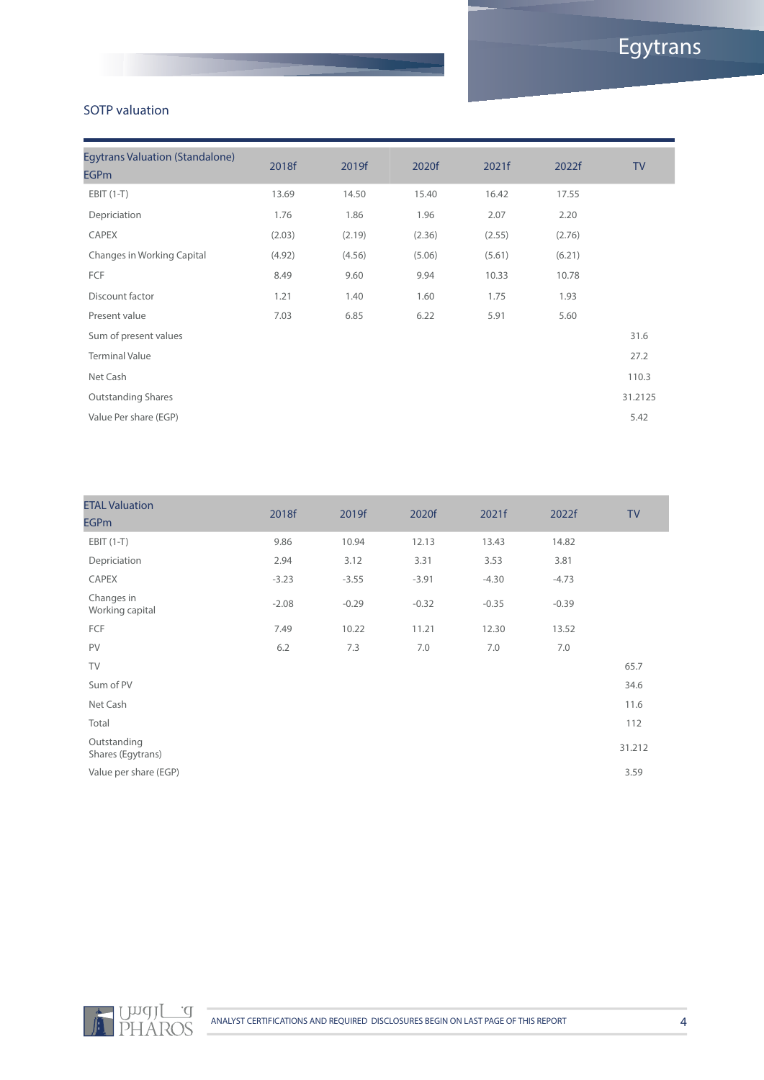#### SOTP valuation

| <b>Egytrans Valuation (Standalone)</b><br><b>EGPm</b> | 2018f  | 2019f  | 2020f  | 2021f  | 2022f  | <b>TV</b> |
|-------------------------------------------------------|--------|--------|--------|--------|--------|-----------|
| $EBIT(1-T)$                                           | 13.69  | 14.50  | 15.40  | 16.42  | 17.55  |           |
| Depriciation                                          | 1.76   | 1.86   | 1.96   | 2.07   | 2.20   |           |
| <b>CAPEX</b>                                          | (2.03) | (2.19) | (2.36) | (2.55) | (2.76) |           |
| Changes in Working Capital                            | (4.92) | (4.56) | (5.06) | (5.61) | (6.21) |           |
| FCF                                                   | 8.49   | 9.60   | 9.94   | 10.33  | 10.78  |           |
| Discount factor                                       | 1.21   | 1.40   | 1.60   | 1.75   | 1.93   |           |
| Present value                                         | 7.03   | 6.85   | 6.22   | 5.91   | 5.60   |           |
| Sum of present values                                 |        |        |        |        |        | 31.6      |
| <b>Terminal Value</b>                                 |        |        |        |        |        | 27.2      |
| Net Cash                                              |        |        |        |        |        | 110.3     |
| <b>Outstanding Shares</b>                             |        |        |        |        |        | 31.2125   |
| Value Per share (EGP)                                 |        |        |        |        |        | 5.42      |
|                                                       |        |        |        |        |        |           |

| <b>ETAL Valuation</b><br><b>EGPm</b> | 2018f   | 2019f   | 2020f   | 2021f   | 2022f   | <b>TV</b> |
|--------------------------------------|---------|---------|---------|---------|---------|-----------|
| $EBIT(1-T)$                          | 9.86    | 10.94   | 12.13   | 13.43   | 14.82   |           |
| Depriciation                         | 2.94    | 3.12    | 3.31    | 3.53    | 3.81    |           |
| CAPEX                                | $-3.23$ | $-3.55$ | $-3.91$ | $-4.30$ | $-4.73$ |           |
| Changes in<br>Working capital        | $-2.08$ | $-0.29$ | $-0.32$ | $-0.35$ | $-0.39$ |           |
| FCF                                  | 7.49    | 10.22   | 11.21   | 12.30   | 13.52   |           |
| PV                                   | 6.2     | 7.3     | 7.0     | 7.0     | 7.0     |           |
| TV                                   |         |         |         |         |         | 65.7      |
| Sum of PV                            |         |         |         |         |         | 34.6      |
| Net Cash                             |         |         |         |         |         | 11.6      |
| Total                                |         |         |         |         |         | 112       |
| Outstanding<br>Shares (Egytrans)     |         |         |         |         |         | 31.212    |
| Value per share (EGP)                |         |         |         |         |         | 3.59      |
|                                      |         |         |         |         |         |           |

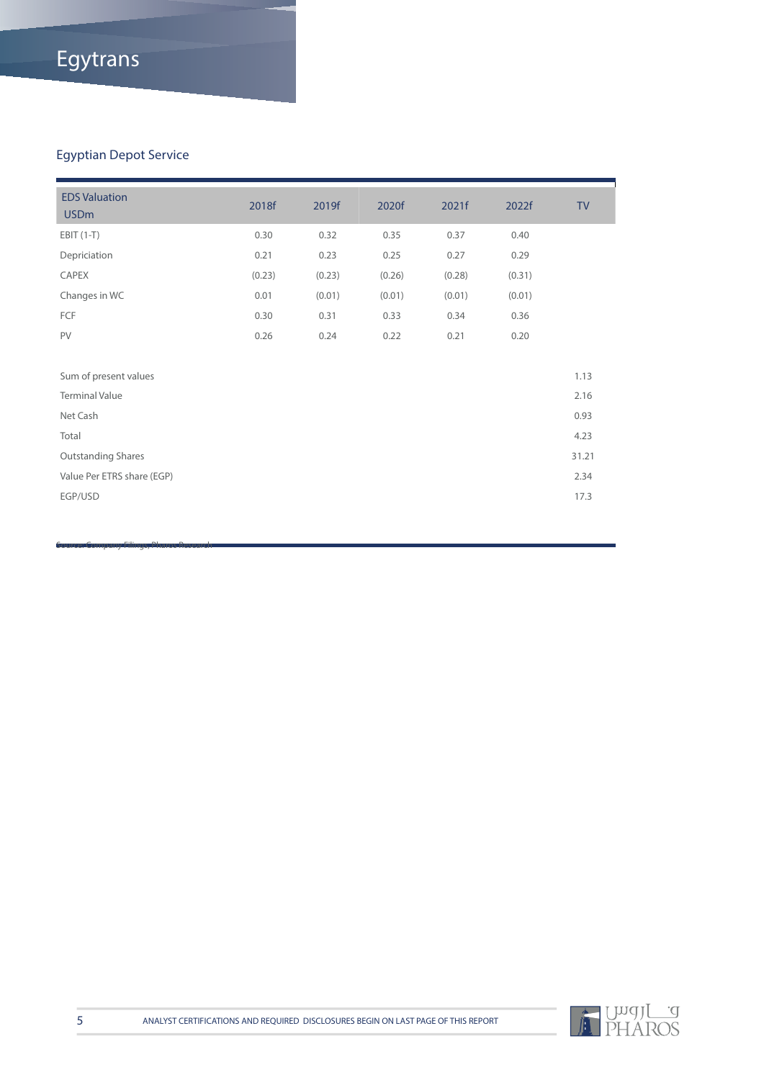# Egytrans

### Egyptian Depot Service

Source: Company Filings, Pharos Research

| <b>EDS Valuation</b><br><b>USDm</b> | 2018f  | 2019f  | 2020f  | 2021f  | 2022f  | <b>TV</b> |
|-------------------------------------|--------|--------|--------|--------|--------|-----------|
| $EBIT(1-T)$                         | 0.30   | 0.32   | 0.35   | 0.37   | 0.40   |           |
| Depriciation                        | 0.21   | 0.23   | 0.25   | 0.27   | 0.29   |           |
| CAPEX                               | (0.23) | (0.23) | (0.26) | (0.28) | (0.31) |           |
| Changes in WC                       | 0.01   | (0.01) | (0.01) | (0.01) | (0.01) |           |
| FCF                                 | 0.30   | 0.31   | 0.33   | 0.34   | 0.36   |           |
| PV                                  | 0.26   | 0.24   | 0.22   | 0.21   | 0.20   |           |
|                                     |        |        |        |        |        |           |
| Sum of present values               |        |        |        |        |        | 1.13      |
| <b>Terminal Value</b>               |        |        |        |        |        | 2.16      |
| Net Cash                            |        |        |        |        |        | 0.93      |
| Total                               |        |        |        |        |        | 4.23      |
| <b>Outstanding Shares</b>           |        |        |        |        |        | 31.21     |
| Value Per ETRS share (EGP)          |        |        |        |        |        | 2.34      |
| EGP/USD                             |        |        |        |        |        | 17.3      |
|                                     |        |        |        |        |        |           |